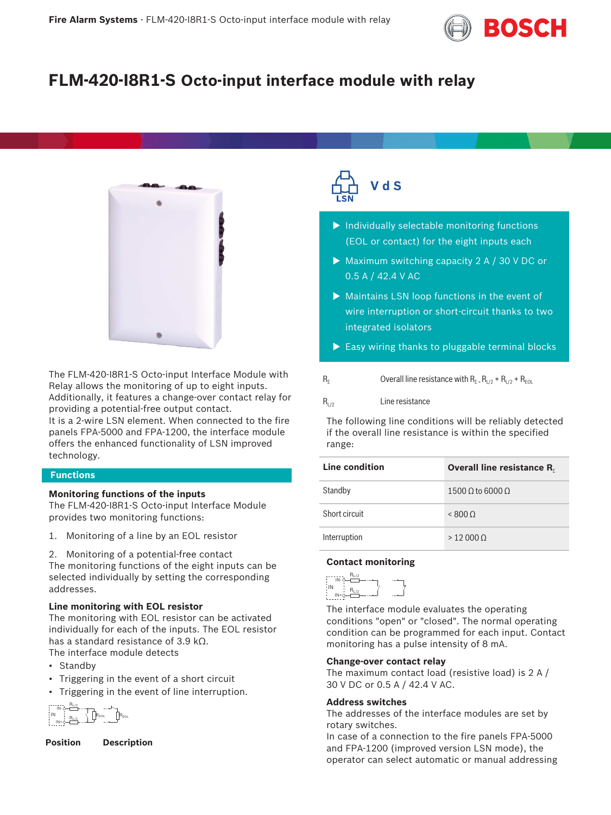

# **FLM-420-I8R1-S Octo-input interface module with relay**



The FLM‑420‑I8R1‑S Octo-input Interface Module with Relay allows the monitoring of up to eight inputs. Additionally, it features a change‑over contact relay for providing a potential‑free output contact.

It is a 2‑wire LSN element. When connected to the fire panels FPA‑5000 and FPA‑1200, the interface module offers the enhanced functionality of LSN improved technology.

### **Functions**

# **Monitoring functions of the inputs**

The FLM-420-I8R1-S Octo-input Interface Module provides two monitoring functions:

- 1. Monitoring of a line by an EOL resistor
- 2. Monitoring of a potential-free contact

The monitoring functions of the eight inputs can be selected individually by setting the corresponding addresses.

# **Line monitoring with EOL resistor**

The monitoring with EOL resistor can be activated individually for each of the inputs. The EOL resistor has a standard resistance of 3.9 kΩ. The interface module detects

- Standby
- Triggering in the event of a short circuit
- Triggering in the event of line interruption.

IN+ IN- $R_{EOL}$   $R_{EOL}$  $R_{L/2}$  $R_{L/2}$ IN

**Position Description**



- $\blacktriangleright$  Individually selectable monitoring functions (EOL or contact) for the eight inputs each
- $\triangleright$  Maximum switching capacity 2 A / 30 V DC or 0.5 A / 42.4 V AC
- $\triangleright$  Maintains LSN loop functions in the event of wire interruption or short-circuit thanks to two integrated isolators
- $\blacktriangleright$  Easy wiring thanks to pluggable terminal blocks

|  | Overall line resistance with $R_{\Sigma}$ = $R_{L/2}$ + $R_{L/2}$ + $R_{EOL}$ |
|--|-------------------------------------------------------------------------------|
|--|-------------------------------------------------------------------------------|

### $R_{1/2}$  Line resistance

The following line conditions will be reliably detected if the overall line resistance is within the specified range:

| Line condition | <b>Overall line resistance R.</b> |
|----------------|-----------------------------------|
| Standby        | 1500 Q to 6000 Q                  |
| Short circuit  | < 8000                            |
| Interruption   | >120000                           |

# **Contact monitoring**



The interface module evaluates the operating conditions "open" or "closed". The normal operating condition can be programmed for each input. Contact monitoring has a pulse intensity of 8 mA.

### **Change‑over contact relay**

The maximum contact load (resistive load) is 2 A / 30 V DC or 0.5 A / 42.4 V AC.

# **Address switches**

The addresses of the interface modules are set by rotary switches.

In case of a connection to the fire panels FPA‑5000 and FPA‑1200 (improved version LSN mode), the operator can select automatic or manual addressing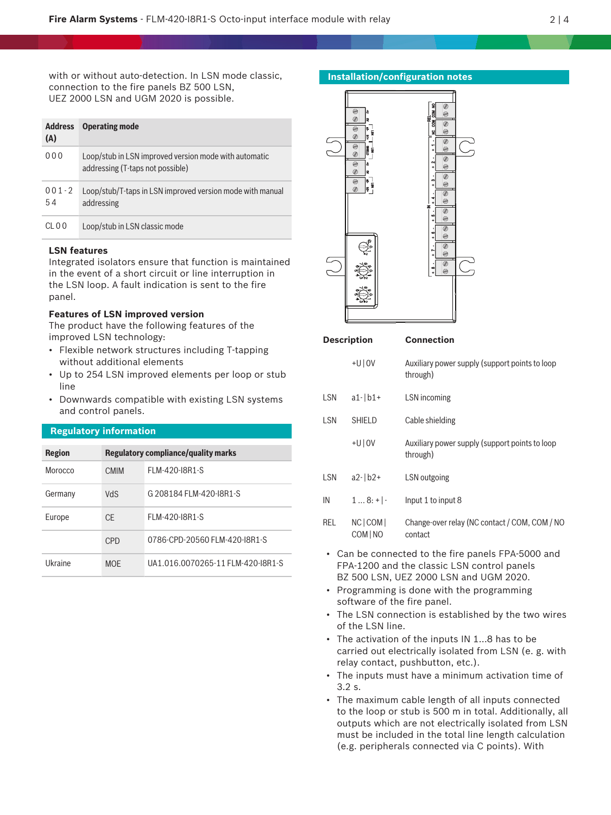with or without auto-detection. In LSN mode classic, connection to the fire panels BZ 500 LSN, UEZ 2000 LSN and UGM 2020 is possible.

| <b>Address</b><br>(A) | <b>Operating mode</b>                                                                     |
|-----------------------|-------------------------------------------------------------------------------------------|
| 0.00                  | Loop/stub in LSN improved version mode with automatic<br>addressing (T-taps not possible) |
| $001 - 2$<br>54       | Loop/stub/T-taps in LSN improved version mode with manual<br>addressing                   |
| CL 0.0                | Loop/stub in LSN classic mode                                                             |

# **LSN features**

Integrated isolators ensure that function is maintained in the event of a short circuit or line interruption in the LSN loop. A fault indication is sent to the fire panel.

# **Features of LSN improved version**

The product have the following features of the improved LSN technology:

- Flexible network structures including T-tapping without additional elements
- Up to 254 LSN improved elements per loop or stub line
- Downwards compatible with existing LSN systems and control panels.

# **Regulatory information**

| <b>Region</b> | Regulatory compliance/quality marks |                                   |  |
|---------------|-------------------------------------|-----------------------------------|--|
| Morocco       | <b>CMIM</b>                         | FLM-420-I8R1-S                    |  |
| Germany       | <b>VdS</b>                          | G 208184 FLM-420-I8R1-S           |  |
| Europe        | CF                                  | FLM-420-I8R1-S                    |  |
|               | CPD                                 | 0786-CPD-20560 FLM-420-I8R1-S     |  |
| Ukraine       | <b>MOF</b>                          | UA1.016.0070265-11 FLM-420-I8R1-S |  |



| <b>Description</b> |                        | <b>Connection</b>                                          |  |
|--------------------|------------------------|------------------------------------------------------------|--|
|                    | $+U$   0V              | Auxiliary power supply (support points to loop<br>through) |  |
| LSN                | $a1 - b1 +$            | LSN incoming                                               |  |
| LSN                | <b>SHIELD</b>          | Cable shielding                                            |  |
|                    | $+U$   0V              | Auxiliary power supply (support points to loop<br>through) |  |
| LSN                | $a2 - b2 +$            | LSN outgoing                                               |  |
| IN                 | $18:+$ .               | Input 1 to input 8                                         |  |
| REL                | NC   COM  <br>COM   NO | Change-over relay (NC contact / COM, COM / NO<br>contact   |  |

- Can be connected to the fire panels FPA‑5000 and FPA-1200 and the classic LSN control panels BZ 500 LSN, UEZ 2000 LSN and UGM 2020.
- Programming is done with the programming software of the fire panel.
- The LSN connection is established by the two wires of the LSN line.
- The activation of the inputs IN 1…8 has to be carried out electrically isolated from LSN (e. g. with relay contact, pushbutton, etc.).
- The inputs must have a minimum activation time of 3.2 s.
- The maximum cable length of all inputs connected to the loop or stub is 500 m in total. Additionally, all outputs which are not electrically isolated from LSN must be included in the total line length calculation (e.g. peripherals connected via C points). With

#### **Installation/configuration notes**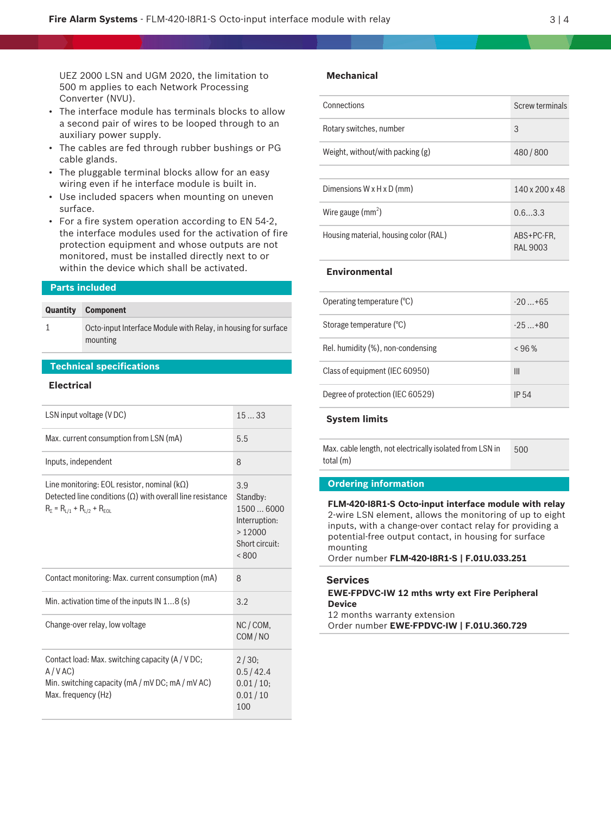UEZ 2000 LSN and UGM 2020, the limitation to 500 m applies to each Network Processing Converter (NVU).

- The interface module has terminals blocks to allow a second pair of wires to be looped through to an auxiliary power supply.
- The cables are fed through rubber bushings or PG cable glands.
- The pluggable terminal blocks allow for an easy wiring even if he interface module is built in.
- Use included spacers when mounting on uneven surface.
- For a fire system operation according to EN 54‑2, the interface modules used for the activation of fire protection equipment and whose outputs are not monitored, must be installed directly next to or within the device which shall be activated.

#### **Parts included**

#### **Quantity Component**

1 Octo-input Interface Module with Relay, in housing for surface mounting

# **Technical specifications**

#### **Electrical**

| LSN input voltage (VDC)                                                                                                                                              | 1533                                                                              |
|----------------------------------------------------------------------------------------------------------------------------------------------------------------------|-----------------------------------------------------------------------------------|
| Max. current consumption from LSN (mA)                                                                                                                               | 5.5                                                                               |
| Inputs, independent                                                                                                                                                  | 8                                                                                 |
| Line monitoring: EOL resistor, nominal $(k\Omega)$<br>Detected line conditions $(\Omega)$ with overall line resistance<br>$R_{\Sigma} = R_{L/1} + R_{L/2} + R_{EOL}$ | 3.9<br>Standby:<br>15006000<br>Interruption:<br>>12000<br>Short circuit:<br>< 800 |
| Contact monitoring: Max. current consumption (mA)                                                                                                                    | 8                                                                                 |
| Min. activation time of the inputs $IN 18$ (s)                                                                                                                       | 3.2                                                                               |
| Change-over relay, low voltage                                                                                                                                       | NC/COM,<br>COM/NO                                                                 |
| Contact load: Max. switching capacity (A / V DC;<br>A/VAC<br>Min. switching capacity (mA / mV DC; mA / mV AC)<br>Max. frequency (Hz)                                 | 2/30:<br>0.5/42.4<br>0.01/10;<br>0.01/10<br>100                                   |

# **Mechanical**

| Connections                           | <b>Screw terminals</b>        |
|---------------------------------------|-------------------------------|
| Rotary switches, number               | 3                             |
| Weight, without/with packing $(g)$    | 480/800                       |
|                                       |                               |
| Dimensions W x H x D (mm)             | 140 x 200 x 48                |
| Wire gauge $(mm^2)$                   | 0.63.3                        |
| Housing material, housing color (RAL) | ABS+PC-FR.<br><b>RAL 9003</b> |

# **Environmental**

| Operating temperature $(°C)$      | $-20$ +65  |
|-----------------------------------|------------|
| Storage temperature (°C)          | $-25 + 80$ |
| Rel. humidity (%), non-condensing | < 96%      |
| Class of equipment (IEC 60950)    | Ш          |
| Degree of protection (IEC 60529)  | IP 54      |

# **System limits**

Max. cable length, not electrically isolated from LSN in total (m) 500

#### **Ordering information**

**FLM-420-I8R1-S Octo-input interface module with relay** 2-wire LSN element, allows the monitoring of up to eight inputs, with a change‑over contact relay for providing a potential-free output contact, in housing for surface mounting

Order number **FLM-420-I8R1-S | F.01U.033.251**

#### **Services**

# **EWE-FPDVC-IW 12 mths wrty ext Fire Peripheral Device**

12 months warranty extension

Order number **EWE-FPDVC-IW | F.01U.360.729**